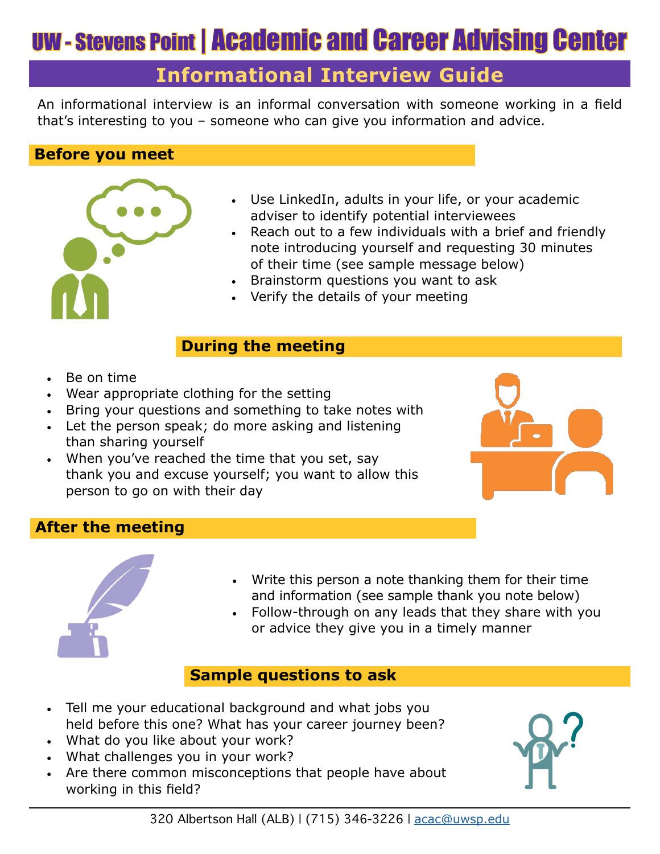# UW - Stevens Point | Academic and Career Advising Center

## **Informational Interview Guide**

#### $\blacksquare$  **DDWDLDDWLRDD**

that's interesting to you – someone who can give you information and advice.

### **Before you meet**



- Use LinkedIn, adults in your life, or your academic adviser to identify potential interviewees
- Reach out to a few individuals with a brief and friendly note introducing yourself and requesting 30 minutes of their time (see sample message below)
- Brainstorm questions you want to ask
- Verify the details of your meeting

### **During the meeting**

- Be on time
- Wear appropriate clothing for the setting
- Bring your questions and something to take notes with
- Let the person speak; do more asking and listening than sharing yourself
- When you've reached the time that you set, say thank you and excuse yourself; you want to allow this person to go on with their day



### **After the meeting**



- Write this person a note thanking them for their time and information (see sample thank you note below)
- Follow-through on any leads that they share with you or advice they give you in a timely manner

## **Sample questions to choose from**

- Tell me your educational background and what jobs you held before this one? What has your career journey been?
- What do you like about your work?
- What challenges you in your work?
- Are there common misconceptions that people have about RULLWCVHL

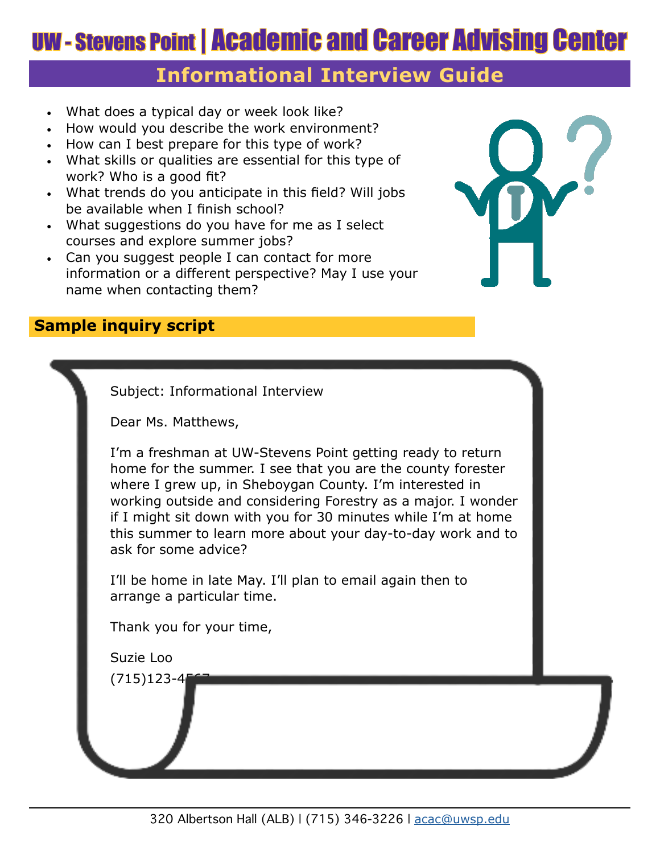# UW - Stevens Point | Academic and Career Advising Center

# **Informational Interview Guide**

#### **Sample questions continued...**

- What does a typical day or week look like?
- How would you describe the work environment?
- How can I best prepare for this type of work?
- What skills or qualities are essential for this work?
- What trends do you anticipate in this field?
- What suggestions do you have for me as I select courses and explore summer jobs?
- Can you suggest people I can contact for more information or a different perspective? May I use your name when contacting them?



### **Sample inquiry script**

Subject: Informational Interview

Dear Ms. Matthews,

I'm a freshman at UW-Stevens Point getting ready to return home for the summer. I see that you are the county forester where I grew up, in Sheboygan County. I'm interested in working outside and considering Forestry as a major. I wonder if I might sit down with you for 30 minutes while I'm at home this summer to learn more about your day-to-day work and to ask for some advice?

I'll be home in late May. I'll plan to email again then to arrange a particular time.

Thank you for your time,

Suzie Loo

 $(715)123 - 4$